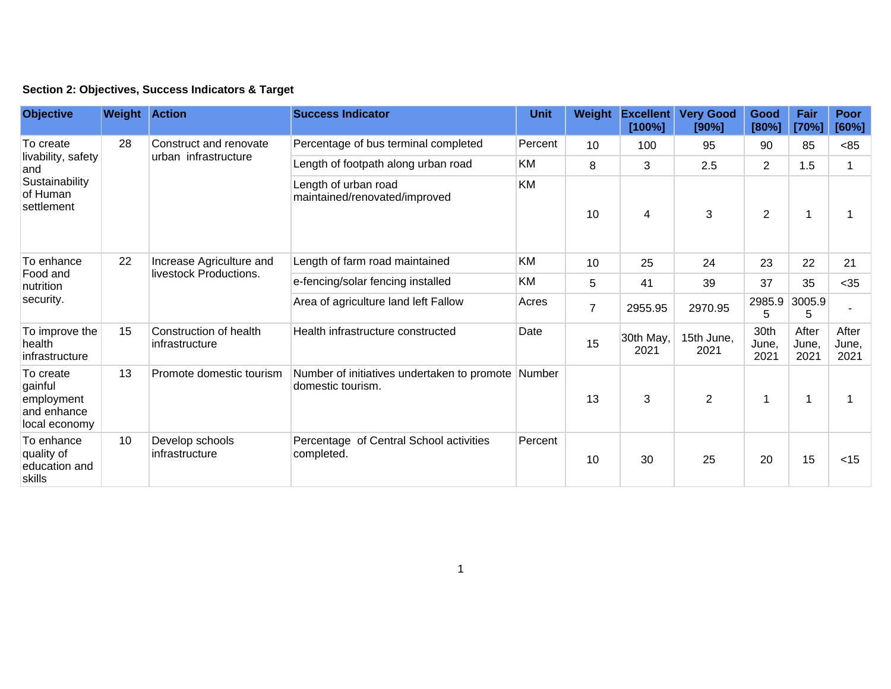|  | Section 2: Objectives, Success Indicators & Target |  |  |  |  |
|--|----------------------------------------------------|--|--|--|--|
|--|----------------------------------------------------|--|--|--|--|

| <b>Objective</b>                                                                   | <b>Weight Action</b> |                                                    | <b>Success Indicator</b>                                                | <b>Unit</b> | <b>Weight</b>  | <b>Excellent</b><br>[100%] | <b>Very Good</b><br>[90%] | Good<br>[80%]         | Fair<br>[70%]          | Poor<br>[60%]          |
|------------------------------------------------------------------------------------|----------------------|----------------------------------------------------|-------------------------------------------------------------------------|-------------|----------------|----------------------------|---------------------------|-----------------------|------------------------|------------------------|
| To create<br>livability, safety<br>and<br>Sustainability<br>of Human<br>settlement | 28                   | Construct and renovate<br>urban infrastructure     | Percentage of bus terminal completed                                    | Percent     | 10             | 100                        | 95                        | 90                    | 85                     | < 85                   |
|                                                                                    |                      |                                                    | Length of footpath along urban road                                     | KM          | 8              | 3                          | 2.5                       | $\overline{2}$        | 1.5                    |                        |
|                                                                                    |                      |                                                    | Length of urban road<br>maintained/renovated/improved                   | KM          | 10             | 4                          | 3                         | $\overline{2}$        | 1                      |                        |
| To enhance<br>Food and<br>nutrition<br>security.                                   | 22                   | Increase Agriculture and<br>livestock Productions. | Length of farm road maintained                                          | KM          | 10             | 25                         | 24                        | 23                    | 22                     | 21                     |
|                                                                                    |                      |                                                    | e-fencing/solar fencing installed                                       | KM          | 5              | 41                         | 39                        | 37                    | 35                     | $35$                   |
|                                                                                    |                      |                                                    | Area of agriculture land left Fallow                                    | Acres       | $\overline{7}$ | 2955.95                    | 2970.95                   | 2985.9<br>5           | 3005.9<br>5            |                        |
| To improve the<br>health<br>infrastructure                                         | 15                   | Construction of health<br>infrastructure           | Health infrastructure constructed                                       | Date        | 15             | 30th May,<br>2021          | 15th June,<br>2021        | 30th<br>June,<br>2021 | After<br>June,<br>2021 | After<br>June,<br>2021 |
| To create<br>gainful<br>employment<br>and enhance<br>local economy                 | 13                   | Promote domestic tourism                           | Number of initiatives undertaken to promote Number<br>domestic tourism. |             | 13             | 3                          | $\overline{2}$            | 1                     | 1                      |                        |
| To enhance<br>quality of<br>education and<br>skills                                | 10                   | Develop schools<br>infrastructure                  | Percentage of Central School activities<br>completed.                   | Percent     | 10             | 30                         | 25                        | 20                    | 15                     | $<$ 15                 |